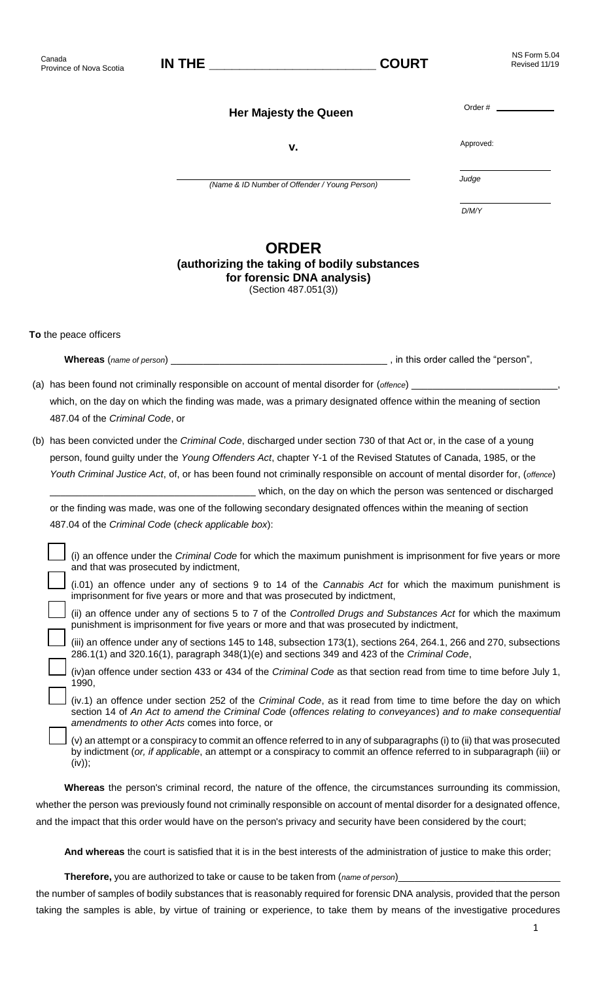| Canada<br>Province of Nova Scotia | <b>IN THE</b> | <b>COURT</b> |
|-----------------------------------|---------------|--------------|
|-----------------------------------|---------------|--------------|

**Her Majesty the Queen**

Approved:

Order #

**v.**

*(Name & ID Number of Offender / Young Person)*

*Judge*

*D/M/Y*

## **ORDER**

## **(authorizing the taking of bodily substances for forensic DNA analysis)** (Section 487.051(3))

**To** the peace officers

**Whereas** (*name of person*) \_\_\_\_\_\_\_\_\_\_\_\_\_\_\_\_\_\_\_\_\_\_\_\_\_\_\_\_\_\_\_\_\_\_\_\_\_\_\_\_ , in this order called the "person",

(a) has been found not criminally responsible on account of mental disorder for (*offence*) which, on the day on which the finding was made, was a primary designated offence within the meaning of section 487.04 of the *Criminal Code*, or

(b) has been convicted under the *Criminal Code*, discharged under section 730 of that Act or, in the case of a young person, found guilty under the *Young Offenders Act*, chapter Y-1 of the Revised Statutes of Canada, 1985, or the *Youth Criminal Justice Act*, of, or has been found not criminally responsible on account of mental disorder for, (*offence*) which, on the day on which the person was sentenced or discharged

or the finding was made, was one of the following secondary designated offences within the meaning of section 487.04 of the *Criminal Code* (*check applicable box*):

 (i) an offence under the *Criminal Code* for which the maximum punishment is imprisonment for five years or more and that was prosecuted by indictment,

 (i.01) an offence under any of sections 9 to 14 of the *Cannabis Act* for which the maximum punishment is imprisonment for five years or more and that was prosecuted by indictment,

 (ii) an offence under any of sections 5 to 7 of the *Controlled Drugs and Substances Act* for which the maximum punishment is imprisonment for five years or more and that was prosecuted by indictment,

 (iii) an offence under any of sections 145 to 148, subsection 173(1), sections 264, 264.1, 266 and 270, subsections 286.1(1) and 320.16(1), paragraph 348(1)(e) and sections 349 and 423 of the *Criminal Code*,

 (iv)an offence under section 433 or 434 of the *Criminal Code* as that section read from time to time before July 1, 1990,

 (iv.1) an offence under section 252 of the *Criminal Code*, as it read from time to time before the day on which section 14 of *An Act to amend the Criminal Code* (*offences relating to conveyances*) *and to make consequential amendments to other Acts* comes into force, or

 (v) an attempt or a conspiracy to commit an offence referred to in any of subparagraphs (i) to (ii) that was prosecuted by indictment (*or, if applicable*, an attempt or a conspiracy to commit an offence referred to in subparagraph (iii) or (iv));

**Whereas** the person's criminal record, the nature of the offence, the circumstances surrounding its commission, whether the person was previously found not criminally responsible on account of mental disorder for a designated offence, and the impact that this order would have on the person's privacy and security have been considered by the court;

**And whereas** the court is satisfied that it is in the best interests of the administration of justice to make this order;

**Therefore,** you are authorized to take or cause to be taken from (name of person)\_

the number of samples of bodily substances that is reasonably required for forensic DNA analysis, provided that the person taking the samples is able, by virtue of training or experience, to take them by means of the investigative procedures